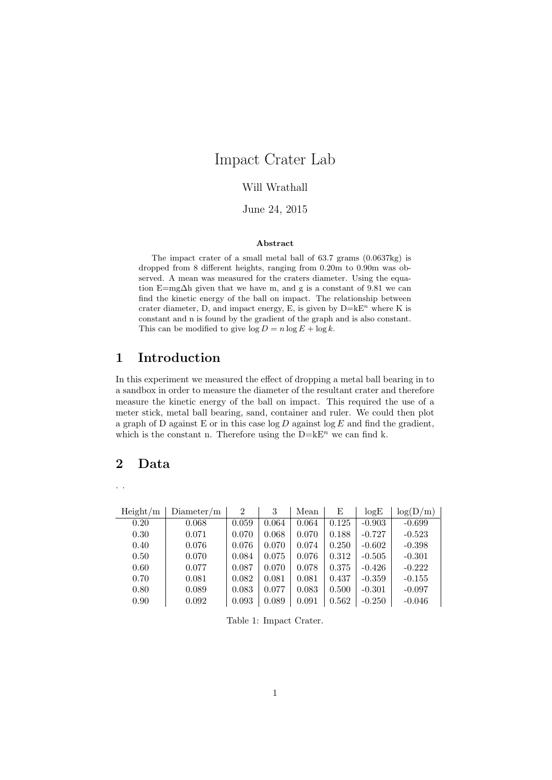## Impact Crater Lab

#### Will Wrathall

June 24, 2015

#### Abstract

The impact crater of a small metal ball of 63.7 grams (0.0637kg) is dropped from 8 different heights, ranging from 0.20m to 0.90m was observed. A mean was measured for the craters diameter. Using the equation E=mg $\Delta$ h given that we have m, and g is a constant of 9.81 we can find the kinetic energy of the ball on impact. The relationship between crater diameter, D, and impact energy, E, is given by  $D= kE^n$  where K is constant and n is found by the gradient of the graph and is also constant. This can be modified to give  $\log D = n \log E + \log k$ .

### 1 Introduction

In this experiment we measured the effect of dropping a metal ball bearing in to a sandbox in order to measure the diameter of the resultant crater and therefore measure the kinetic energy of the ball on impact. This required the use of a meter stick, metal ball bearing, sand, container and ruler. We could then plot a graph of D against E or in this case log D against log E and find the gradient. which is the constant n. Therefore using the  $D= kE^n$  we can find k.

### 2 Data

| Height/m | Diameter/m | $\overline{2}$ | 3     | Mean  | E     | logE     | log(D/m) |
|----------|------------|----------------|-------|-------|-------|----------|----------|
| 0.20     | 0.068      | 0.059          | 0.064 | 0.064 | 0.125 | $-0.903$ | $-0.699$ |
| 0.30     | 0.071      | 0.070          | 0.068 | 0.070 | 0.188 | $-0.727$ | $-0.523$ |
| 0.40     | 0.076      | 0.076          | 0.070 | 0.074 | 0.250 | $-0.602$ | $-0.398$ |
| 0.50     | 0.070      | 0.084          | 0.075 | 0.076 | 0.312 | $-0.505$ | $-0.301$ |
| 0.60     | 0.077      | 0.087          | 0.070 | 0.078 | 0.375 | $-0.426$ | $-0.222$ |
| 0.70     | 0.081      | 0.082          | 0.081 | 0.081 | 0.437 | $-0.359$ | $-0.155$ |
| 0.80     | 0.089      | 0.083          | 0.077 | 0.083 | 0.500 | $-0.301$ | $-0.097$ |
| 0.90     | 0.092      | 0.093          | 0.089 | 0.091 | 0.562 | $-0.250$ | $-0.046$ |

Table 1: Impact Crater.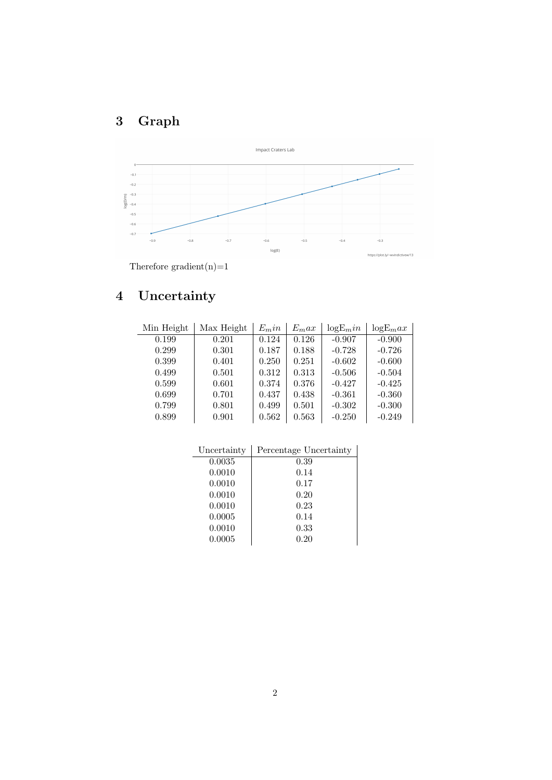# 3 Graph



Therefore gradient $(n)=1$ 

## 4 Uncertainty

| Min Height | Max Height | $E_{m}$ in | $E_max$ | $logE_m$ <i>in</i> | $logE_max$ |
|------------|------------|------------|---------|--------------------|------------|
| 0.199      | 0.201      | 0.124      | 0.126   | $-0.907$           | $-0.900$   |
| 0.299      | 0.301      | 0.187      | 0.188   | $-0.728$           | $-0.726$   |
| 0.399      | 0.401      | 0.250      | 0.251   | $-0.602$           | $-0.600$   |
| 0.499      | 0.501      | 0.312      | 0.313   | $-0.506$           | $-0.504$   |
| 0.599      | 0.601      | 0.374      | 0.376   | $-0.427$           | $-0.425$   |
| 0.699      | 0.701      | 0.437      | 0.438   | $-0.361$           | $-0.360$   |
| 0.799      | 0.801      | 0.499      | 0.501   | $-0.302$           | $-0.300$   |
| 0.899      | 0.901      | 0.562      | 0.563   | $-0.250$           | $-0.249$   |

| Percentage Uncertainty |
|------------------------|
| 0.39                   |
| 0.14                   |
| 0.17                   |
| 0.20                   |
| 0.23                   |
| 0.14                   |
| 0.33                   |
| 0.20                   |
|                        |